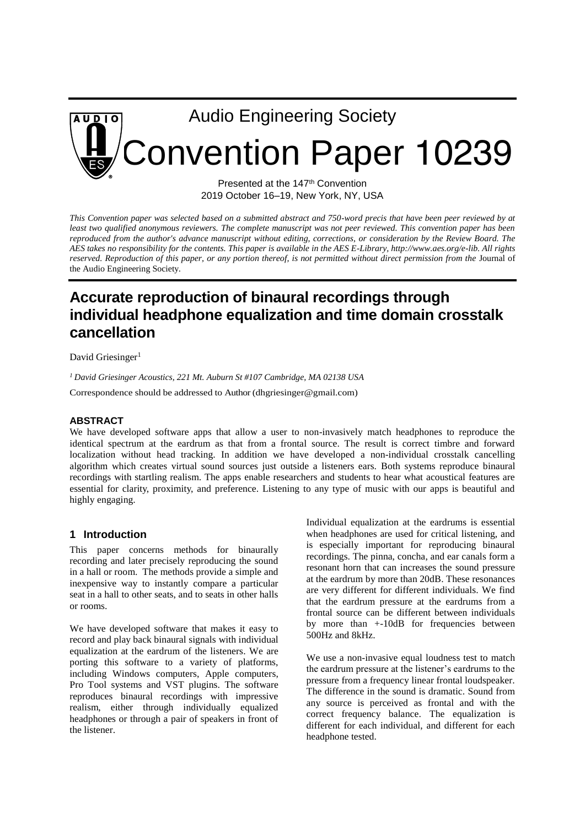

Presented at the 147<sup>th</sup> Convention 2019 October 16–19, New York, NY, USA

*This Convention paper was selected based on a submitted abstract and 750-word precis that have been peer reviewed by at least two qualified anonymous reviewers. The complete manuscript was not peer reviewed. This convention paper has been*  reproduced from the author's advance manuscript without editing, corrections, or consideration by the Review Board. The *AES takes no responsibility for the contents. This paper is available in the AES E-Library, http://www.aes.org/e-lib. All rights reserved. Reproduction of this paper, or any portion thereof, is not permitted without direct permission from the Journal of* the Audio Engineering Society*.* 

# **Accurate reproduction of binaural recordings through individual headphone equalization and time domain crosstalk cancellation**

David Griesinger<sup>1</sup>

*<sup>1</sup> David Griesinger Acoustics, 221 Mt. Auburn St #107 Cambridge, MA 02138 USA* 

Correspondence should be addressed to Author (dhgriesinger@gmail.com)

#### **ABSTRACT**

We have developed software apps that allow a user to non-invasively match headphones to reproduce the identical spectrum at the eardrum as that from a frontal source. The result is correct timbre and forward localization without head tracking. In addition we have developed a non-individual crosstalk cancelling algorithm which creates virtual sound sources just outside a listeners ears. Both systems reproduce binaural recordings with startling realism. The apps enable researchers and students to hear what acoustical features are essential for clarity, proximity, and preference. Listening to any type of music with our apps is beautiful and highly engaging.

### **1 Introduction**

This paper concerns methods for binaurally recording and later precisely reproducing the sound in a hall or room. The methods provide a simple and inexpensive way to instantly compare a particular seat in a hall to other seats, and to seats in other halls or rooms.

We have developed software that makes it easy to record and play back binaural signals with individual equalization at the eardrum of the listeners. We are porting this software to a variety of platforms, including Windows computers, Apple computers, Pro Tool systems and VST plugins. The software reproduces binaural recordings with impressive realism, either through individually equalized headphones or through a pair of speakers in front of the listener.

Individual equalization at the eardrums is essential when headphones are used for critical listening, and is especially important for reproducing binaural recordings. The pinna, concha, and ear canals form a resonant horn that can increases the sound pressure at the eardrum by more than 20dB. These resonances are very different for different individuals. We find that the eardrum pressure at the eardrums from a frontal source can be different between individuals by more than +-10dB for frequencies between 500Hz and 8kHz.

We use a non-invasive equal loudness test to match the eardrum pressure at the listener's eardrums to the pressure from a frequency linear frontal loudspeaker. The difference in the sound is dramatic. Sound from any source is perceived as frontal and with the correct frequency balance. The equalization is different for each individual, and different for each headphone tested.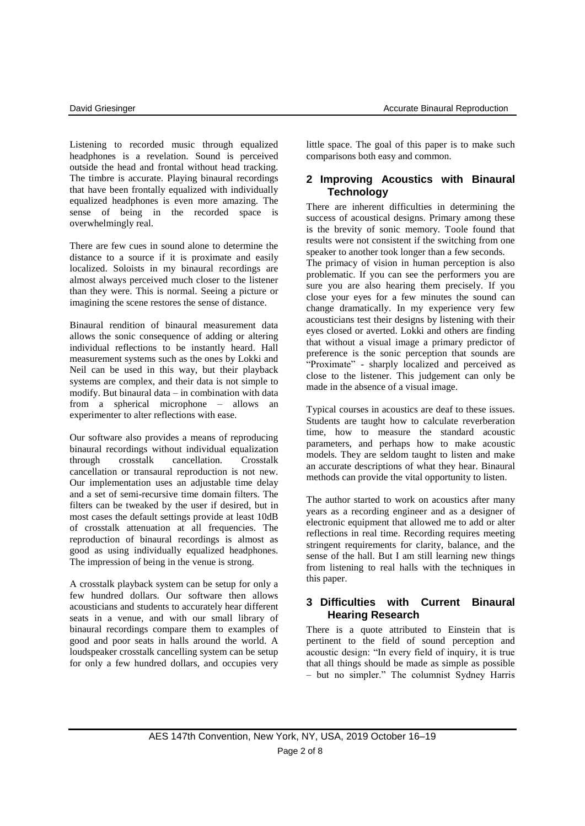Listening to recorded music through equalized headphones is a revelation. Sound is perceived outside the head and frontal without head tracking. The timbre is accurate. Playing binaural recordings that have been frontally equalized with individually equalized headphones is even more amazing. The sense of being in the recorded space is overwhelmingly real.

There are few cues in sound alone to determine the distance to a source if it is proximate and easily localized. Soloists in my binaural recordings are almost always perceived much closer to the listener than they were. This is normal. Seeing a picture or imagining the scene restores the sense of distance.

Binaural rendition of binaural measurement data allows the sonic consequence of adding or altering individual reflections to be instantly heard. Hall measurement systems such as the ones by Lokki and Neil can be used in this way, but their playback systems are complex, and their data is not simple to modify. But binaural data – in combination with data from a spherical microphone – allows an experimenter to alter reflections with ease.

Our software also provides a means of reproducing binaural recordings without individual equalization through crosstalk cancellation. Crosstalk cancellation or transaural reproduction is not new. Our implementation uses an adjustable time delay and a set of semi-recursive time domain filters. The filters can be tweaked by the user if desired, but in most cases the default settings provide at least 10dB of crosstalk attenuation at all frequencies. The reproduction of binaural recordings is almost as good as using individually equalized headphones. The impression of being in the venue is strong.

A crosstalk playback system can be setup for only a few hundred dollars. Our software then allows acousticians and students to accurately hear different seats in a venue, and with our small library of binaural recordings compare them to examples of good and poor seats in halls around the world. A loudspeaker crosstalk cancelling system can be setup for only a few hundred dollars, and occupies very little space. The goal of this paper is to make such comparisons both easy and common.

### **2 Improving Acoustics with Binaural Technology**

There are inherent difficulties in determining the success of acoustical designs. Primary among these is the brevity of sonic memory. Toole found that results were not consistent if the switching from one speaker to another took longer than a few seconds.

The primacy of vision in human perception is also problematic. If you can see the performers you are sure you are also hearing them precisely. If you close your eyes for a few minutes the sound can change dramatically. In my experience very few acousticians test their designs by listening with their eyes closed or averted. Lokki and others are finding that without a visual image a primary predictor of preference is the sonic perception that sounds are "Proximate" - sharply localized and perceived as close to the listener. This judgement can only be made in the absence of a visual image.

Typical courses in acoustics are deaf to these issues. Students are taught how to calculate reverberation time, how to measure the standard acoustic parameters, and perhaps how to make acoustic models. They are seldom taught to listen and make an accurate descriptions of what they hear. Binaural methods can provide the vital opportunity to listen.

The author started to work on acoustics after many years as a recording engineer and as a designer of electronic equipment that allowed me to add or alter reflections in real time. Recording requires meeting stringent requirements for clarity, balance, and the sense of the hall. But I am still learning new things from listening to real halls with the techniques in this paper.

### **3 Difficulties with Current Binaural Hearing Research**

There is a quote attributed to Einstein that is pertinent to the field of sound perception and acoustic design: "In every field of inquiry, it is true that all things should be made as simple as possible – but no simpler." The columnist Sydney Harris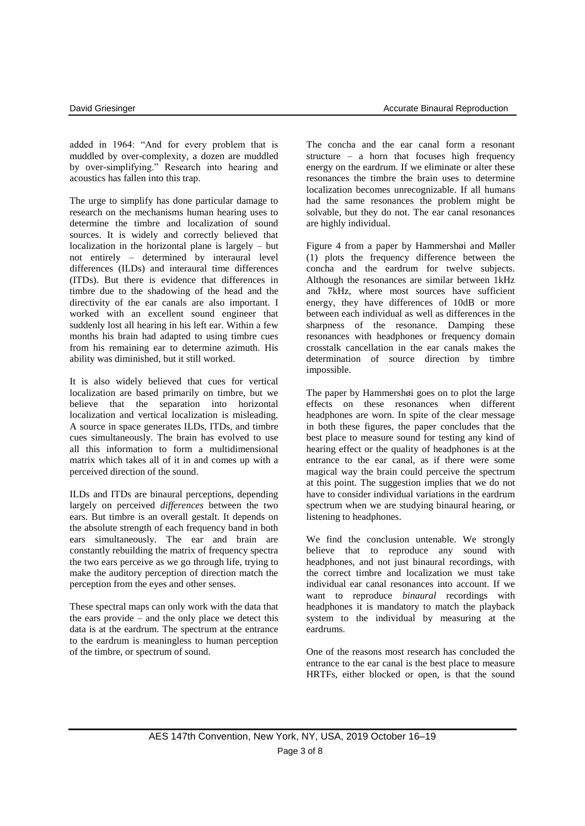added in 1964: "And for every problem that is muddled by over-complexity, a dozen are muddled by over-simplifying." Research into hearing and acoustics has fallen into this trap.

The urge to simplify has done particular damage to research on the mechanisms human hearing uses to determine the timbre and localization of sound sources. It is widely and correctly believed that localization in the horizontal plane is largely – but not entirely – determined by interaural level differences (ILDs) and interaural time differences (ITDs). But there is evidence that differences in timbre due to the shadowing of the head and the directivity of the ear canals are also important. I worked with an excellent sound engineer that suddenly lost all hearing in his left ear. Within a few months his brain had adapted to using timbre cues from his remaining ear to determine azimuth. His ability was diminished, but it still worked.

It is also widely believed that cues for vertical localization are based primarily on timbre, but we believe that the separation into horizontal localization and vertical localization is misleading. A source in space generates ILDs, ITDs, and timbre cues simultaneously. The brain has evolved to use all this information to form a multidimensional matrix which takes all of it in and comes up with a perceived direction of the sound.

ILDs and ITDs are binaural perceptions, depending largely on perceived *differences* between the two ears. But timbre is an overall gestalt. It depends on the absolute strength of each frequency band in both ears simultaneously. The ear and brain are constantly rebuilding the matrix of frequency spectra the two ears perceive as we go through life, trying to make the auditory perception of direction match the perception from the eyes and other senses.

These spectral maps can only work with the data that the ears provide – and the only place we detect this data is at the eardrum. The spectrum at the entrance to the eardrum is meaningless to human perception of the timbre, or spectrum of sound.

The concha and the ear canal form a resonant structure – a horn that focuses high frequency energy on the eardrum. If we eliminate or alter these resonances the timbre the brain uses to determine localization becomes unrecognizable. If all humans had the same resonances the problem might be solvable, but they do not. The ear canal resonances are highly individual.

Figure 4 from a paper by Hammershøi and Møller (1) plots the frequency difference between the concha and the eardrum for twelve subjects. Although the resonances are similar between 1kHz and 7kHz, where most sources have sufficient energy, they have differences of 10dB or more between each individual as well as differences in the sharpness of the resonance. Damping these resonances with headphones or frequency domain crosstalk cancellation in the ear canals makes the determination of source direction by timbre impossible.

The paper by Hammershøi goes on to plot the large effects on these resonances when different headphones are worn. In spite of the clear message in both these figures, the paper concludes that the best place to measure sound for testing any kind of hearing effect or the quality of headphones is at the entrance to the ear canal, as if there were some magical way the brain could perceive the spectrum at this point. The suggestion implies that we do not have to consider individual variations in the eardrum spectrum when we are studying binaural hearing, or listening to headphones.

We find the conclusion untenable. We strongly believe that to reproduce any sound with headphones, and not just binaural recordings, with the correct timbre and localization we must take individual ear canal resonances into account. If we want to reproduce *binaural* recordings with headphones it is mandatory to match the playback system to the individual by measuring at the eardrums.

One of the reasons most research has concluded the entrance to the ear canal is the best place to measure HRTFs, either blocked or open, is that the sound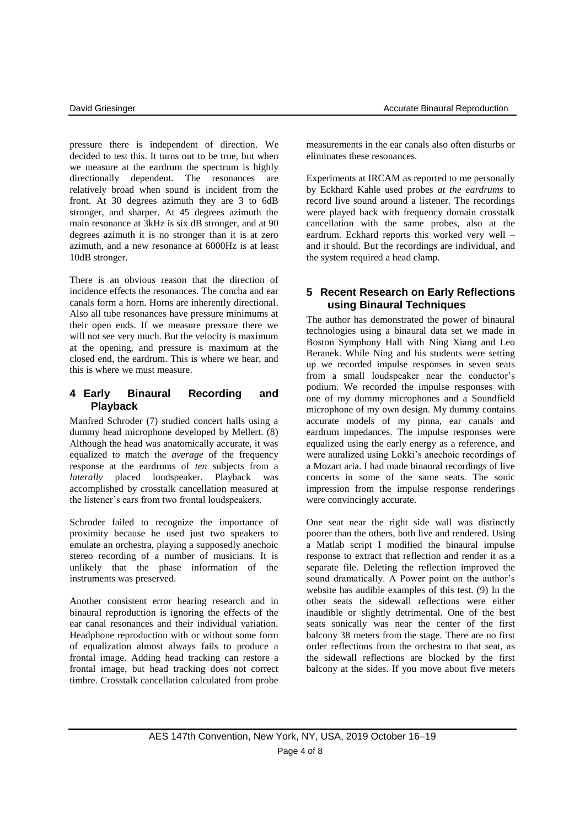pressure there is independent of direction. We decided to test this. It turns out to be true, but when we measure at the eardrum the spectrum is highly directionally dependent. The resonances are relatively broad when sound is incident from the front. At 30 degrees azimuth they are 3 to 6dB stronger, and sharper. At 45 degrees azimuth the main resonance at 3kHz is six dB stronger, and at 90 degrees azimuth it is no stronger than it is at zero azimuth, and a new resonance at 6000Hz is at least 10dB stronger.

There is an obvious reason that the direction of incidence effects the resonances. The concha and ear canals form a horn. Horns are inherently directional. Also all tube resonances have pressure minimums at their open ends. If we measure pressure there we will not see very much. But the velocity is maximum at the opening, and pressure is maximum at the closed end, the eardrum. This is where we hear, and this is where we must measure.

### **4 Early Binaural Recording and Playback**

Manfred Schroder (7) studied concert halls using a dummy head microphone developed by Mellert. (8) Although the head was anatomically accurate, it was equalized to match the *average* of the frequency response at the eardrums of *ten* subjects from a *laterally* placed loudspeaker. Playback was accomplished by crosstalk cancellation measured at the listener's ears from two frontal loudspeakers.

Schroder failed to recognize the importance of proximity because he used just two speakers to emulate an orchestra, playing a supposedly anechoic stereo recording of a number of musicians. It is unlikely that the phase information of the instruments was preserved.

Another consistent error hearing research and in binaural reproduction is ignoring the effects of the ear canal resonances and their individual variation. Headphone reproduction with or without some form of equalization almost always fails to produce a frontal image. Adding head tracking can restore a frontal image, but head tracking does not correct timbre. Crosstalk cancellation calculated from probe

measurements in the ear canals also often disturbs or eliminates these resonances.

Experiments at IRCAM as reported to me personally by Eckhard Kahle used probes *at the eardrums* to record live sound around a listener. The recordings were played back with frequency domain crosstalk cancellation with the same probes, also at the eardrum. Eckhard reports this worked very well – and it should. But the recordings are individual, and the system required a head clamp.

# **5 Recent Research on Early Reflections using Binaural Techniques**

The author has demonstrated the power of binaural technologies using a binaural data set we made in Boston Symphony Hall with Ning Xiang and Leo Beranek. While Ning and his students were setting up we recorded impulse responses in seven seats from a small loudspeaker near the conductor's podium. We recorded the impulse responses with one of my dummy microphones and a Soundfield microphone of my own design. My dummy contains accurate models of my pinna, ear canals and eardrum impedances. The impulse responses were equalized using the early energy as a reference, and were auralized using Lokki's anechoic recordings of a Mozart aria. I had made binaural recordings of live concerts in some of the same seats. The sonic impression from the impulse response renderings were convincingly accurate.

One seat near the right side wall was distinctly poorer than the others, both live and rendered. Using a Matlab script I modified the binaural impulse response to extract that reflection and render it as a separate file. Deleting the reflection improved the sound dramatically. A Power point on the author's website has audible examples of this test. (9) In the other seats the sidewall reflections were either inaudible or slightly detrimental. One of the best seats sonically was near the center of the first balcony 38 meters from the stage. There are no first order reflections from the orchestra to that seat, as the sidewall reflections are blocked by the first balcony at the sides. If you move about five meters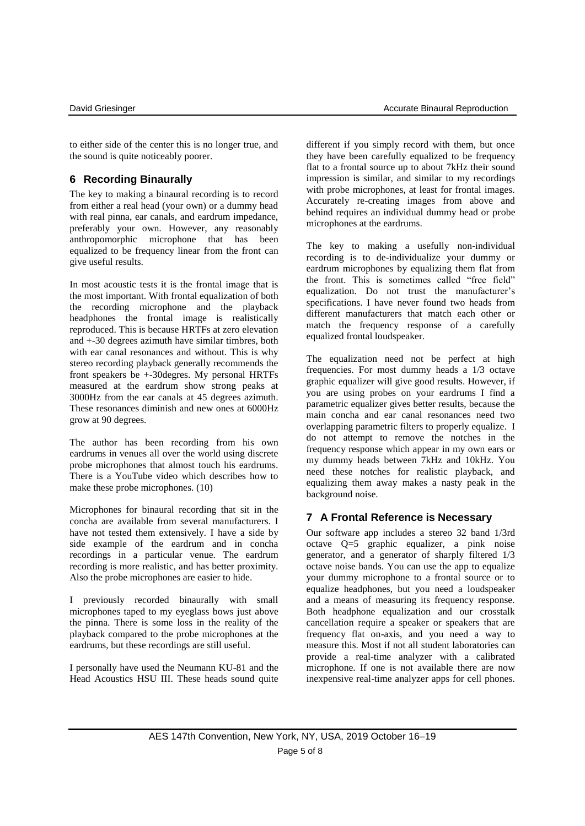to either side of the center this is no longer true, and the sound is quite noticeably poorer.

# **6 Recording Binaurally**

The key to making a binaural recording is to record from either a real head (your own) or a dummy head with real pinna, ear canals, and eardrum impedance, preferably your own. However, any reasonably anthropomorphic microphone that has been equalized to be frequency linear from the front can give useful results.

In most acoustic tests it is the frontal image that is the most important. With frontal equalization of both the recording microphone and the playback headphones the frontal image is realistically reproduced. This is because HRTFs at zero elevation and +-30 degrees azimuth have similar timbres, both with ear canal resonances and without. This is why stereo recording playback generally recommends the front speakers be +-30degres. My personal HRTFs measured at the eardrum show strong peaks at 3000Hz from the ear canals at 45 degrees azimuth. These resonances diminish and new ones at 6000Hz grow at 90 degrees.

The author has been recording from his own eardrums in venues all over the world using discrete probe microphones that almost touch his eardrums. There is a YouTube video which describes how to make these probe microphones. (10)

Microphones for binaural recording that sit in the concha are available from several manufacturers. I have not tested them extensively. I have a side by side example of the eardrum and in concha recordings in a particular venue. The eardrum recording is more realistic, and has better proximity. Also the probe microphones are easier to hide.

I previously recorded binaurally with small microphones taped to my eyeglass bows just above the pinna. There is some loss in the reality of the playback compared to the probe microphones at the eardrums, but these recordings are still useful.

I personally have used the Neumann KU-81 and the Head Acoustics HSU III. These heads sound quite different if you simply record with them, but once they have been carefully equalized to be frequency flat to a frontal source up to about 7kHz their sound impression is similar, and similar to my recordings with probe microphones, at least for frontal images. Accurately re-creating images from above and behind requires an individual dummy head or probe microphones at the eardrums.

The key to making a usefully non-individual recording is to de-individualize your dummy or eardrum microphones by equalizing them flat from the front. This is sometimes called "free field" equalization. Do not trust the manufacturer's specifications. I have never found two heads from different manufacturers that match each other or match the frequency response of a carefully equalized frontal loudspeaker.

The equalization need not be perfect at high frequencies. For most dummy heads a 1/3 octave graphic equalizer will give good results. However, if you are using probes on your eardrums I find a parametric equalizer gives better results, because the main concha and ear canal resonances need two overlapping parametric filters to properly equalize. I do not attempt to remove the notches in the frequency response which appear in my own ears or my dummy heads between 7kHz and 10kHz. You need these notches for realistic playback, and equalizing them away makes a nasty peak in the background noise.

# **7 A Frontal Reference is Necessary**

Our software app includes a stereo 32 band 1/3rd octave Q=5 graphic equalizer, a pink noise generator, and a generator of sharply filtered 1/3 octave noise bands. You can use the app to equalize your dummy microphone to a frontal source or to equalize headphones, but you need a loudspeaker and a means of measuring its frequency response. Both headphone equalization and our crosstalk cancellation require a speaker or speakers that are frequency flat on-axis, and you need a way to measure this. Most if not all student laboratories can provide a real-time analyzer with a calibrated microphone. If one is not available there are now inexpensive real-time analyzer apps for cell phones.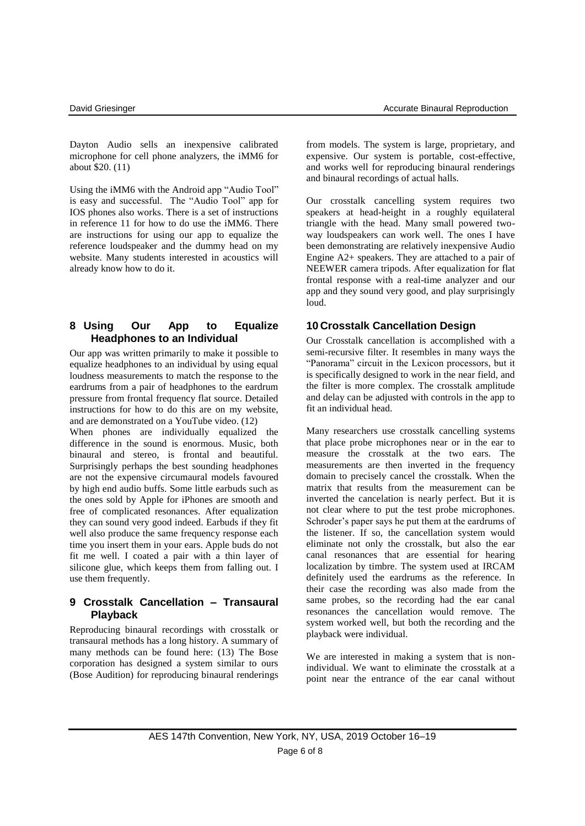Dayton Audio sells an inexpensive calibrated microphone for cell phone analyzers, the iMM6 for about \$20. (11)

Using the iMM6 with the Android app "Audio Tool" is easy and successful. The "Audio Tool" app for IOS phones also works. There is a set of instructions in reference 11 for how to do use the iMM6. There are instructions for using our app to equalize the reference loudspeaker and the dummy head on my website. Many students interested in acoustics will already know how to do it.

### **8 Using Our App to Equalize Headphones to an Individual**

Our app was written primarily to make it possible to equalize headphones to an individual by using equal loudness measurements to match the response to the eardrums from a pair of headphones to the eardrum pressure from frontal frequency flat source. Detailed instructions for how to do this are on my website, and are demonstrated on a YouTube video. (12)

When phones are individually equalized the difference in the sound is enormous. Music, both binaural and stereo, is frontal and beautiful. Surprisingly perhaps the best sounding headphones are not the expensive circumaural models favoured by high end audio buffs. Some little earbuds such as the ones sold by Apple for iPhones are smooth and free of complicated resonances. After equalization they can sound very good indeed. Earbuds if they fit well also produce the same frequency response each time you insert them in your ears. Apple buds do not fit me well. I coated a pair with a thin layer of silicone glue, which keeps them from falling out. I use them frequently.

#### **9 Crosstalk Cancellation – Transaural Playback**

Reproducing binaural recordings with crosstalk or transaural methods has a long history. A summary of many methods can be found here: (13) The Bose corporation has designed a system similar to ours (Bose Audition) for reproducing binaural renderings

from models. The system is large, proprietary, and expensive. Our system is portable, cost-effective, and works well for reproducing binaural renderings and binaural recordings of actual halls.

Our crosstalk cancelling system requires two speakers at head-height in a roughly equilateral triangle with the head. Many small powered twoway loudspeakers can work well. The ones I have been demonstrating are relatively inexpensive Audio Engine A2+ speakers. They are attached to a pair of NEEWER camera tripods. After equalization for flat frontal response with a real-time analyzer and our app and they sound very good, and play surprisingly loud.

# **10 Crosstalk Cancellation Design**

Our Crosstalk cancellation is accomplished with a semi-recursive filter. It resembles in many ways the "Panorama" circuit in the Lexicon processors, but it is specifically designed to work in the near field, and the filter is more complex. The crosstalk amplitude and delay can be adjusted with controls in the app to fit an individual head.

Many researchers use crosstalk cancelling systems that place probe microphones near or in the ear to measure the crosstalk at the two ears. The measurements are then inverted in the frequency domain to precisely cancel the crosstalk. When the matrix that results from the measurement can be inverted the cancelation is nearly perfect. But it is not clear where to put the test probe microphones. Schroder's paper says he put them at the eardrums of the listener. If so, the cancellation system would eliminate not only the crosstalk, but also the ear canal resonances that are essential for hearing localization by timbre. The system used at IRCAM definitely used the eardrums as the reference. In their case the recording was also made from the same probes, so the recording had the ear canal resonances the cancellation would remove. The system worked well, but both the recording and the playback were individual.

We are interested in making a system that is nonindividual. We want to eliminate the crosstalk at a point near the entrance of the ear canal without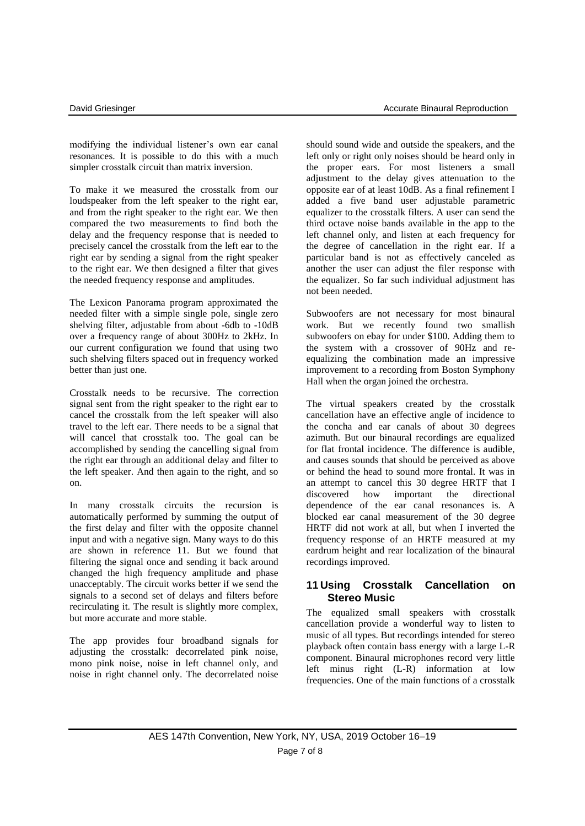modifying the individual listener's own ear canal resonances. It is possible to do this with a much simpler crosstalk circuit than matrix inversion.

To make it we measured the crosstalk from our loudspeaker from the left speaker to the right ear, and from the right speaker to the right ear. We then compared the two measurements to find both the delay and the frequency response that is needed to precisely cancel the crosstalk from the left ear to the right ear by sending a signal from the right speaker to the right ear. We then designed a filter that gives the needed frequency response and amplitudes.

The Lexicon Panorama program approximated the needed filter with a simple single pole, single zero shelving filter, adjustable from about -6db to -10dB over a frequency range of about 300Hz to 2kHz. In our current configuration we found that using two such shelving filters spaced out in frequency worked better than just one.

Crosstalk needs to be recursive. The correction signal sent from the right speaker to the right ear to cancel the crosstalk from the left speaker will also travel to the left ear. There needs to be a signal that will cancel that crosstalk too. The goal can be accomplished by sending the cancelling signal from the right ear through an additional delay and filter to the left speaker. And then again to the right, and so on.

In many crosstalk circuits the recursion is automatically performed by summing the output of the first delay and filter with the opposite channel input and with a negative sign. Many ways to do this are shown in reference 11. But we found that filtering the signal once and sending it back around changed the high frequency amplitude and phase unacceptably. The circuit works better if we send the signals to a second set of delays and filters before recirculating it. The result is slightly more complex, but more accurate and more stable.

The app provides four broadband signals for adjusting the crosstalk: decorrelated pink noise, mono pink noise, noise in left channel only, and noise in right channel only. The decorrelated noise should sound wide and outside the speakers, and the left only or right only noises should be heard only in the proper ears. For most listeners a small adjustment to the delay gives attenuation to the opposite ear of at least 10dB. As a final refinement I added a five band user adjustable parametric equalizer to the crosstalk filters. A user can send the third octave noise bands available in the app to the left channel only, and listen at each frequency for the degree of cancellation in the right ear. If a particular band is not as effectively canceled as another the user can adjust the filer response with the equalizer. So far such individual adjustment has not been needed.

Subwoofers are not necessary for most binaural work. But we recently found two smallish subwoofers on ebay for under \$100. Adding them to the system with a crossover of 90Hz and reequalizing the combination made an impressive improvement to a recording from Boston Symphony Hall when the organ joined the orchestra.

The virtual speakers created by the crosstalk cancellation have an effective angle of incidence to the concha and ear canals of about 30 degrees azimuth. But our binaural recordings are equalized for flat frontal incidence. The difference is audible, and causes sounds that should be perceived as above or behind the head to sound more frontal. It was in an attempt to cancel this 30 degree HRTF that I discovered how important the directional dependence of the ear canal resonances is. A blocked ear canal measurement of the 30 degree HRTF did not work at all, but when I inverted the frequency response of an HRTF measured at my eardrum height and rear localization of the binaural recordings improved.

### **11 Using Crosstalk Cancellation on Stereo Music**

The equalized small speakers with crosstalk cancellation provide a wonderful way to listen to music of all types. But recordings intended for stereo playback often contain bass energy with a large L-R component. Binaural microphones record very little left minus right (L-R) information at low frequencies. One of the main functions of a crosstalk